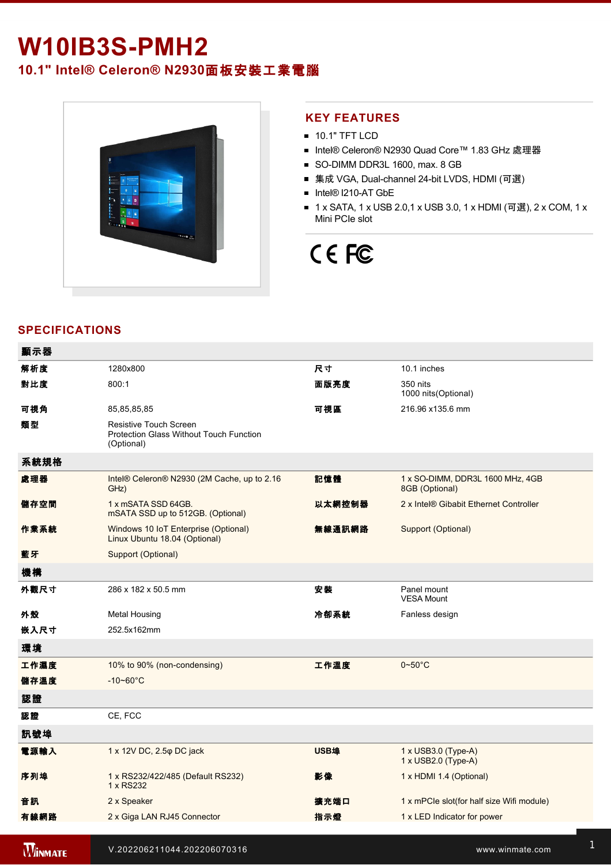## **W10IB3S-PMH2**

**10.1" Intel® Celeron® N2930**面板安裝工業電腦



## **KEY FEATURES**

- **10.1" TFT LCD**
- Intel® Celeron® N2930 Quad Core™ 1.83 GHz 處理器
- SO-DIMM DDR3L 1600, max. 8 GB
- 集成 VGA, Dual-channel 24-bit LVDS, HDMI (可選)
- Intel® I210-AT GbE
- 1 x SATA, 1 x USB 2.0,1 x USB 3.0, 1 x HDMI (可選), 2 x COM, 1 x Mini PCIe slot

# CE FC

## **SPECIFICATIONS**

| 顯示器            |                                                                                        |        |                                                    |
|----------------|----------------------------------------------------------------------------------------|--------|----------------------------------------------------|
| 解析度            | 1280x800                                                                               | 尺寸     | 10.1 inches                                        |
| 對比度            | 800:1                                                                                  | 面版亮度   | 350 nits<br>1000 nits(Optional)                    |
| 可視角            | 85,85,85,85                                                                            | 可視區    | 216.96 x135.6 mm                                   |
| 類型             | Resistive Touch Screen<br><b>Protection Glass Without Touch Function</b><br>(Optional) |        |                                                    |
| 系統規格           |                                                                                        |        |                                                    |
| 處理器            | Intel® Celeron® N2930 (2M Cache, up to 2.16<br>GHz)                                    | 記憶體    | 1 x SO-DIMM, DDR3L 1600 MHz, 4GB<br>8GB (Optional) |
| 儲存空間           | 1 x mSATA SSD 64GB.<br>mSATA SSD up to 512GB. (Optional)                               | 以太網控制器 | 2 x Intel® Gibabit Ethernet Controller             |
| 作業系統           | Windows 10 IoT Enterprise (Optional)<br>Linux Ubuntu 18.04 (Optional)                  | 無線通訊網路 | Support (Optional)                                 |
| 藍牙             | Support (Optional)                                                                     |        |                                                    |
| 機構             |                                                                                        |        |                                                    |
| 外觀尺寸           | 286 x 182 x 50.5 mm                                                                    | 安裝     | Panel mount<br><b>VESA Mount</b>                   |
| 外殼             | <b>Metal Housing</b>                                                                   | 冷卻系統   | Fanless design                                     |
| 嵌入尺寸           | 252.5x162mm                                                                            |        |                                                    |
| 環境             |                                                                                        |        |                                                    |
| 工作濕度           | 10% to 90% (non-condensing)                                                            | 工作溫度   | $0 - 50$ °C                                        |
| 儲存溫度           | $-10 - 60^{\circ}C$                                                                    |        |                                                    |
| 認證             |                                                                                        |        |                                                    |
| 認證             | CE, FCC                                                                                |        |                                                    |
| 訊號埠            |                                                                                        |        |                                                    |
| 電源輸入           | 1 x 12V DC, 2.5 $\varphi$ DC jack                                                      | USB埠   | $1 \times$ USB3.0 (Type-A)<br>1 x USB2.0 (Type-A)  |
| 序列埠            | 1 x RS232/422/485 (Default RS232)<br>1 x RS232                                         | 影像     | 1 x HDMI 1.4 (Optional)                            |
| 音訊             | 2 x Speaker                                                                            | 擴充端口   | 1 x mPCle slot(for half size Wifi module)          |
| 有線網路           | 2 x Giga LAN RJ45 Connector                                                            | 指示燈    | 1 x LED Indicator for power                        |
|                |                                                                                        |        |                                                    |
| <b>WINMATE</b> | V.202206211044.202206070316                                                            |        | www.winmate.com                                    |